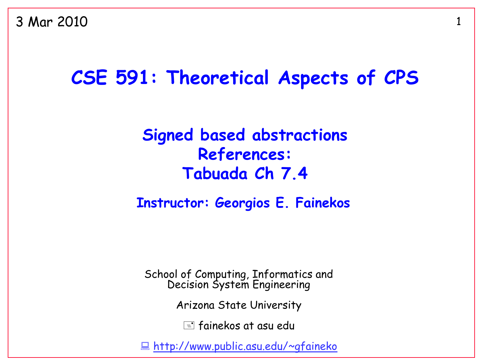3 Mar 2010

#### **CSE 591: Theoretical Aspects of CPS**

#### **Signed based abstractions References: Tabuada Ch 7.4**

#### **Instructor: Georgios E. Fainekos**

School of Computing, Informatics and Decision System Engineering

Arizona State University

 $\equiv$  fainekos at asu edu

<http://www.public.asu.edu/~gfaineko>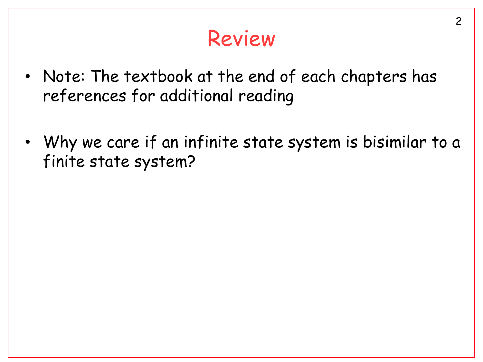## Review

- Note: The textbook at the end of each chapters has references for additional reading
- Why we care if an infinite state system is bisimilar to a finite state system?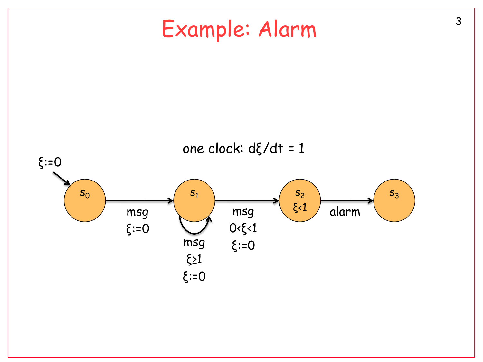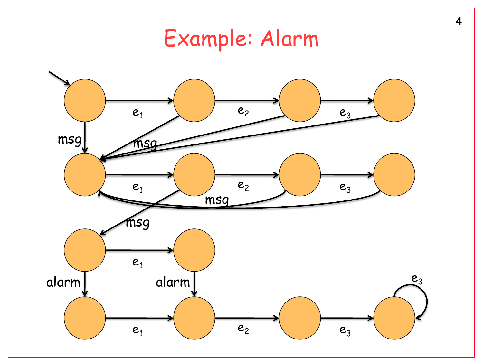# Example: Alarm

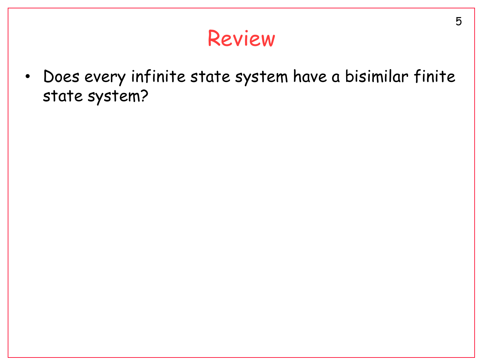#### Review

• Does every infinite state system have a bisimilar finite state system?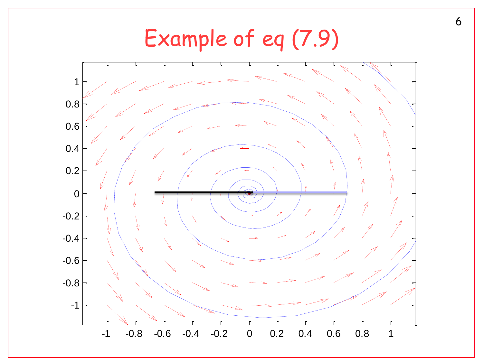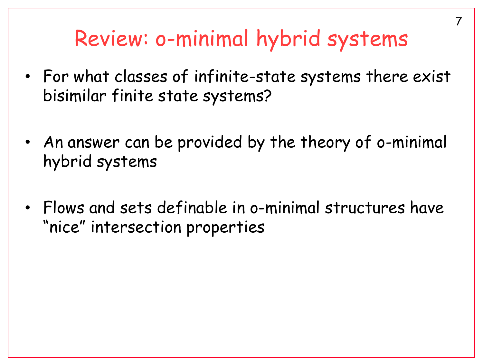### Review: o-minimal hybrid systems

- For what classes of infinite-state systems there exist bisimilar finite state systems?
- An answer can be provided by the theory of o-minimal hybrid systems
- Flows and sets definable in o-minimal structures have "nice" intersection properties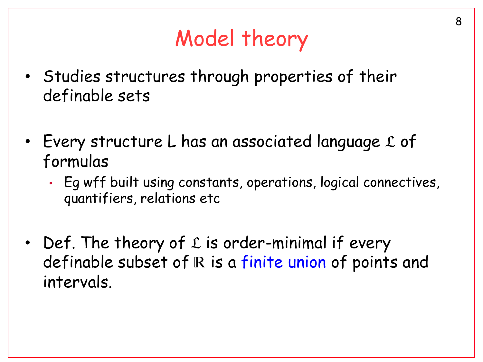# Model theory

- Studies structures through properties of their definable sets
- Every structure L has an associated language  $\mathfrak L$  of formulas
	- Eg wff built using constants, operations, logical connectives, quantifiers, relations etc
- Def. The theory of  $L$  is order-minimal if every definable subset of  $R$  is a finite union of points and intervals.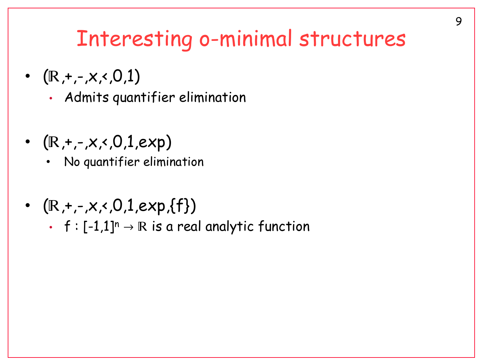## Interesting o-minimal structures

- $(\mathbb{R}, +, -, \times, 0, 1)$ 
	- Admits quantifier elimination
- $(R, +,-,x,0,1,exp)$ 
	- No quantifier elimination
- $(\mathbb{R}, +,-\times, 0,1, \exp{\{\text{f}\}})$ 
	- f :  $[-1,1]^n \rightarrow \mathbb{R}$  is a real analytic function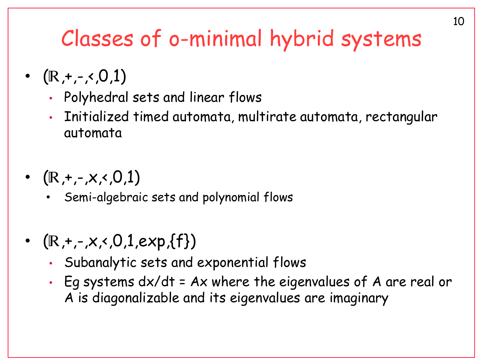# Classes of o-minimal hybrid systems

- $(\mathbb{R}, +,-\lt,0,1)$ 
	- Polyhedral sets and linear flows
	- Initialized timed automata, multirate automata, rectangular automata
- $(\mathbb{R}, +,-\times, 0,1)$ 
	- Semi-algebraic sets and polynomial flows
- $(\mathbb{R}, +,-\times, 0,1, \exp{\{\text{f}\}})$ 
	- Subanalytic sets and exponential flows
	- Eg systems dx/dt = Ax where the eigenvalues of A are real or A is diagonalizable and its eigenvalues are imaginary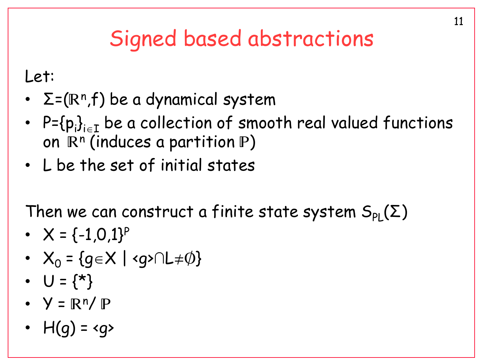# Signed based abstractions

Let:

- $\Sigma$ =(R<sup>n</sup>,f) be a dynamical system
- $\mathsf{P}\text{=}\{\mathsf{p}_\mathsf{i}\}_{\mathsf{i}\in\mathtt{I}}$  be a collection of smooth real valued functions on  $\mathbb{R}^n$  (induces a partition  $\mathbb{P}$ )
- L be the set of initial states

Then we can construct a finite state system  $S_{\text{PI}}(\Sigma)$ 

- $X = \{-1, 0, 1\}^P$
- $X_0 = \{q \in X \mid \langle q \rangle \cap L \neq \emptyset\}$
- $U = \{ * \}$
- $Y = \mathbb{R}^n / \mathbb{P}$
- $H(q) = \langle q \rangle$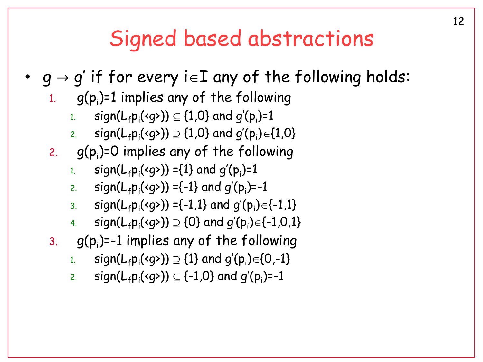#### Signed based abstractions

- $q \rightarrow q'$  if for every  $i \in I$  any of the following holds:
	- $1.$  g(p $_{\mathsf{i}}$ )=1 implies any of the following
		- $_{\begin{subarray}{l} 1. \end{subarray}}$  sign $(\mathsf{L}_\mathsf{f} \mathsf{p}_\mathsf{i} (\mathsf{g} \mathsf{d})) \subseteq \{1,\!0\}$  and  $g'(\mathsf{p}_\mathsf{i})\mathsf{d}$
		- $\begin{equation} \begin{array}{ll} \text{z.} \end{array} \end{equation} \begin{equation} \text{sign}(\mathsf{L}_\text{f} \text{p}_\text{i}(\text{g} \text{m})) \supseteq \{1,0\} \end{equation} \begin{equation} \text{and } g'(\text{p}_\text{i}) \in \{1,0\} \end{equation}$
	- 2.  $g(p_i)$ =0 implies any of the following
		- 1. sign( $L_f p_i$ (<g>)) ={1} and g'(p<sub>i</sub>)=1
		- 2. sign(L<sub>f</sub>p<sub>i</sub>(<g>)) ={-1} and g'(p<sub>i</sub>)=-1
		- 3. sign(L<sub>f</sub>p<sub>i</sub>(<g>)) ={-1,1} and g'(p<sub>i</sub>)={-1,1}
		- 4. sign(L<sub>f</sub>p<sub>i</sub>(<g>))  $\supseteq$  {0} and g'(p<sub>i</sub>)={-1,0,1}
	- $\mathsf{3.} \quad$  g(p $_\mathsf{i}$ )=-1 implies any of the following
		- $\textsf{sign}(\mathsf{L}_\mathsf{f} \mathsf{p}_\mathsf{i} (\mathsf{g} \mathsf{d})) \supseteq \{1\}$  and  $g'(\mathsf{p}_\mathsf{i}) {\in} \{0, \mathsf{-}1\}$
		- 2. sign(L<sub>f</sub>p<sub>i</sub>(<g>))  $\subseteq$  {-1,0} and g'(p<sub>i</sub>)=-1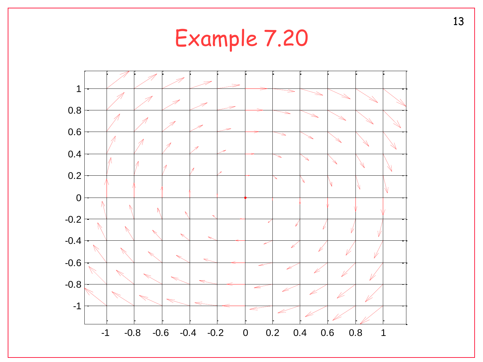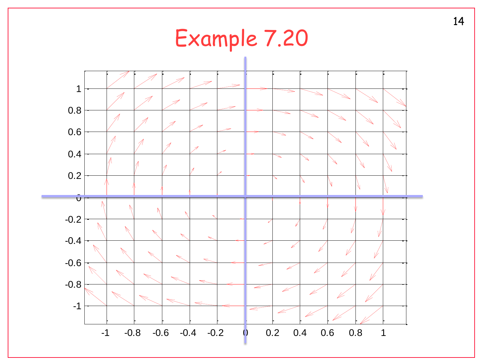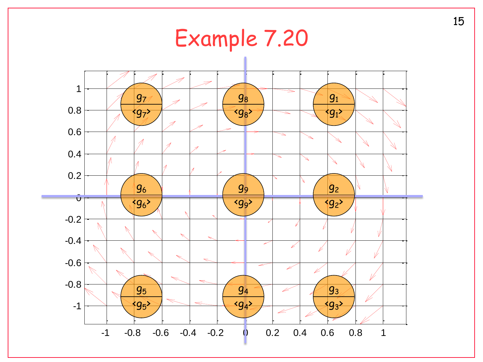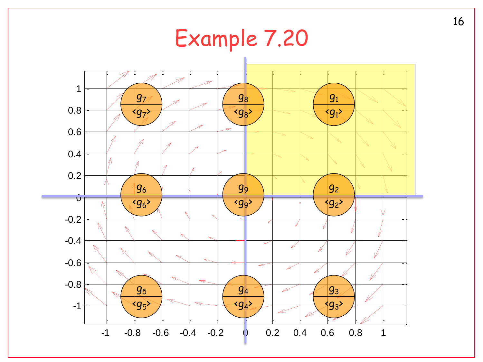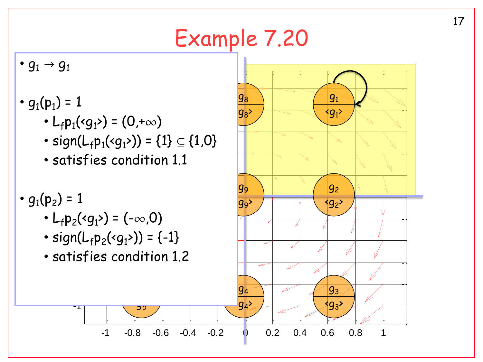# Example 7.20

•  $g_1 \rightarrow g_1$ 

- $g_1(p_1) = 1$ 
	- $\mathbf{r}$ •  $L_f p_1 \cdot (g_1) = (0, +\infty)$
	- $\ddot{\phantom{0}}$ • sign(L<sub>f</sub>p<sub>1</sub>(<g<sub>1</sub>>)) = {1}  $\subseteq$  {1,0}
	- · satisfies condition 1.1

•  $g_1(p_2) = 1$ 

•  $L_f p_2$ (<g<sub>1</sub>>) = (- $\infty$ ,0)

-1

- sign( $L_f p_2$ (<g<sub>1</sub>>)) = {-1}
- -0.6 satisfies condition 1.2

ັງ >

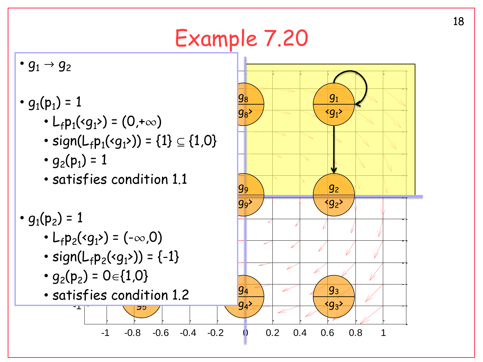# Example 7.20

•  $g_1 \to g_2$ 

- $-1$ •  $g_1(p_1) = 1$ 
	- $\overline{a}$ •  $L_f p_1 \cdot (g_1) = (0, +\infty)$
	- $\ddot{\phantom{0}}$ • sign(L<sub>f</sub>p<sub>1</sub>(<g<sub>1</sub>>)) = {1}  $\subseteq$  {1,0}
	- $g_2(p_1) = 1$
	- .<br>tid  $\ddot{\phantom{0}}$ • satisfies condition 1.1
- $g_1(p_2) = 1$ 
	- $L_f p_2$ (<g<sub>1</sub>>) = (- $\infty$ ,0)
	- sign( $L_f p_2$ (<g<sub>1</sub>>)) = {-1}
	- $\sqrt{2}$ •  $g_2(p_2) = 0 \in \{1,0\}$
	- -1 .<br>- i ר<br>בכ 5 • satisfies condition 1.2

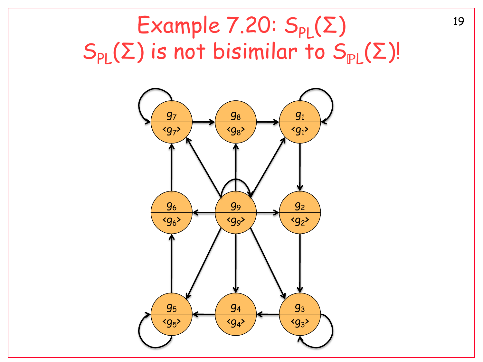